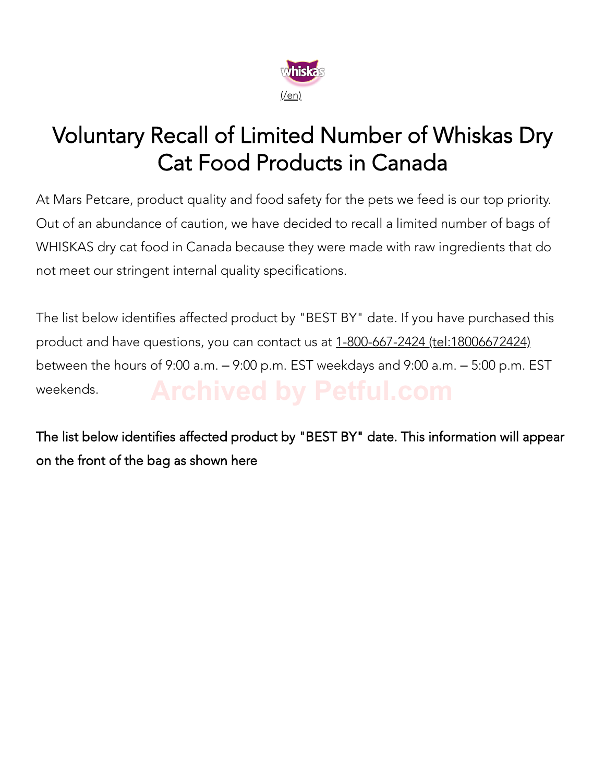

## Voluntary Recall of Limited Number of Whiskas Dry Cat Food Products in Canada

At Mars Petcare, product quality and food safety for the pets we feed is our top priority. Out of an abundance of caution, we have decided to recall a limited number of bags of WHISKAS dry cat food in Canada because they were made with raw ingredients that do not meet our stringent internal quality specifications.

The list below identifies affected product by "BEST BY" date. If you have purchased this product and have questions, you can contact us at 1-800-667-2424 (tel:18006672424) between the hours of 9:00 a.m. – 9:00 p.m. EST weekdays and 9:00 a.m. – 5:00 p.m. EST weekends.

The list below identifies affected product by "BEST BY" date. This information will appear on the front of the bag as shown here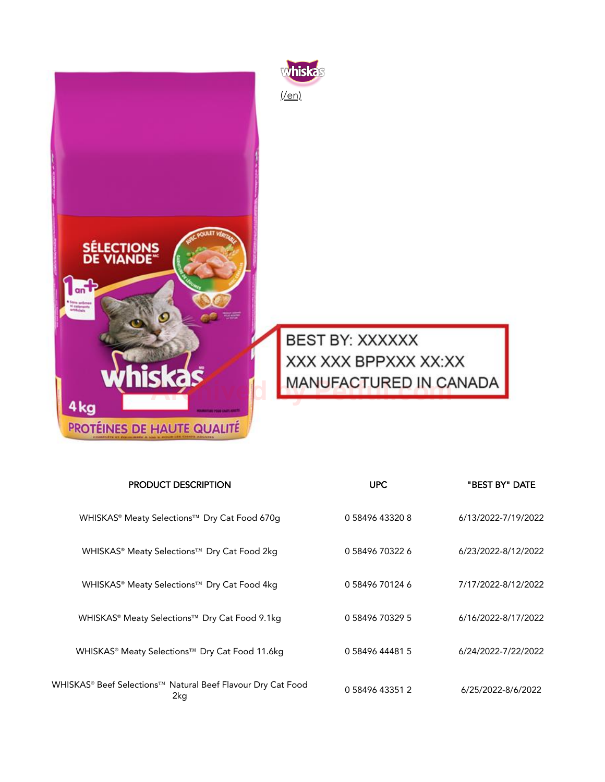



**BEST BY: XXXXXX** XXX XXX BPPXXX XX:XX **hiskas** MANUFACTURED IN CANADA

| <b>PRODUCT DESCRIPTION</b>                                         | <b>UPC</b>      | "BEST BY" DATE      |
|--------------------------------------------------------------------|-----------------|---------------------|
| WHISKAS® Meaty Selections™ Dry Cat Food 670g                       | 0 58496 43320 8 | 6/13/2022-7/19/2022 |
| WHISKAS® Meaty Selections™ Dry Cat Food 2kg                        | 0 58496 70322 6 | 6/23/2022-8/12/2022 |
| WHISKAS® Meaty Selections™ Dry Cat Food 4kg                        | 0 58496 70124 6 | 7/17/2022-8/12/2022 |
| WHISKAS® Meaty Selections™ Dry Cat Food 9.1kg                      | 0 58496 70329 5 | 6/16/2022-8/17/2022 |
| WHISKAS® Meaty Selections™ Dry Cat Food 11.6kg                     | 0 58496 44481 5 | 6/24/2022-7/22/2022 |
| WHISKAS® Beef Selections™ Natural Beef Flavour Dry Cat Food<br>2kg | 0 58496 43351 2 | 6/25/2022-8/6/2022  |